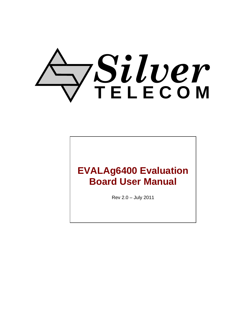# *Silver* **T E L E C O M**

## **EVALAg6400 Evaluation Board User Manual**

Rev 2.0 – July 2011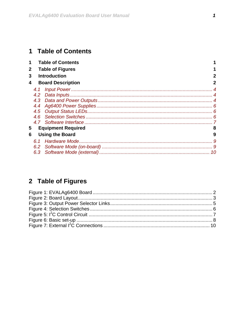## <span id="page-1-0"></span>1 Table of Contents

| 1                           |                          | <b>Table of Contents</b>  |   |
|-----------------------------|--------------------------|---------------------------|---|
| $\mathbf{2}$                | <b>Table of Figures</b>  |                           |   |
| 3                           |                          | <b>Introduction</b>       | 2 |
| 4                           | <b>Board Description</b> |                           |   |
|                             | 4.1                      |                           |   |
|                             | 4.2                      |                           |   |
|                             |                          |                           |   |
|                             | 4.4                      |                           |   |
|                             |                          |                           |   |
|                             | 4.6                      |                           |   |
|                             |                          |                           |   |
| 5                           |                          | <b>Equipment Required</b> |   |
| <b>Using the Board</b><br>6 |                          |                           | 9 |
|                             | 6.1                      |                           |   |
|                             | 6.2                      |                           |   |
|                             | 6.3                      |                           |   |

## 2 Table of Figures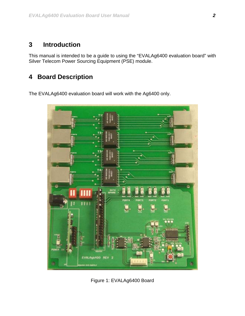#### <span id="page-2-0"></span>**3 Introduction**

This manual is intended to be a guide to using the "EVALAg6400 evaluation board" with Silver Telecom Power Sourcing Equipment (PSE) module.

## **4 Board Description**

The EVALAg6400 evaluation board will work with the Ag6400 only.



Figure 1: EVALAg6400 Board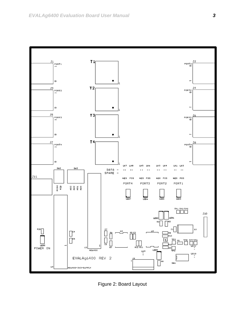<span id="page-3-0"></span>

Figure 2: Board Layout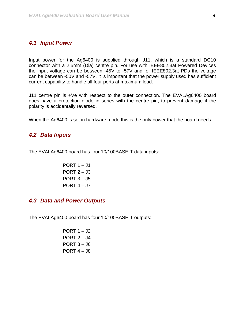#### <span id="page-4-0"></span>*4.1 Input Power*

Input power for the Ag6400 is supplied through J11, which is a standard DC10 connector with a 2.5mm (Dia) centre pin. For use with IEEE802.3af Powered Devices the input voltage can be between -45V to -57V and for IEEE802.3at PDs the voltage can be between -50V and -57V. It is important that the power supply used has sufficient current capability to handle all four ports at maximum load.

J11 centre pin is +Ve with respect to the outer connection. The EVALAg6400 board does have a protection diode in series with the centre pin, to prevent damage if the polarity is accidentally reversed.

When the Ag6400 is set in hardware mode this is the only power that the board needs.

#### *4.2 Data Inputs*

The EVALAg6400 board has four 10/100BASE-T data inputs: -

PORT  $1 - J1$ PORT  $2 - J3$ PORT  $3 - J5$ PORT  $4 - J7$ 

#### *4.3 Data and Power Outputs*

The EVALAg6400 board has four 10/100BASE-T outputs: -

PORT  $1 - J2$ PORT  $2 - J4$ PORT  $3 - J6$ PORT  $4 - 38$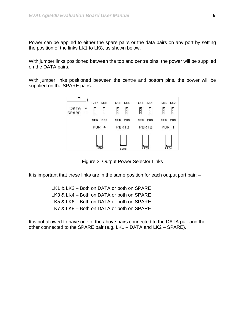<span id="page-5-0"></span>Power can be applied to either the spare pairs or the data pairs on any port by setting the position of the links LK1 to LK8, as shown below.

With jumper links positioned between the top and centre pins, the power will be supplied on the DATA pairs.

With jumper links positioned between the centre and bottom pins, the power will be supplied on the SPARE pairs.



Figure 3: Output Power Selector Links

It is important that these links are in the same position for each output port pair: –

LK1 & LK2 – Both on DATA or both on SPARE LK3 & LK4 – Both on DATA or both on SPARE LK5 & LK6 – Both on DATA or both on SPARE LK7 & LK8 – Both on DATA or both on SPARE

It is not allowed to have one of the above pairs connected to the DATA pair and the other connected to the SPARE pair (e.g. LK1 – DATA and LK2 – SPARE).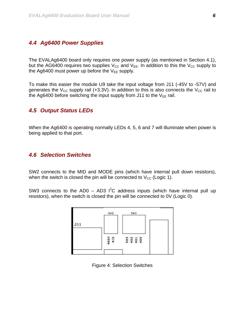#### <span id="page-6-0"></span>*4.4 Ag6400 Power Supplies*

The EVALAg6400 board only requires one power supply (as mentioned in Section 4.1), but the AG6400 requires two supplies  $V_{CC}$  and  $V_{EE}$ . In addition to this the  $V_{CC}$  supply to the Ag6400 must power up before the  $V_{EE}$  supply.

To make this easier the module U9 take the input voltage from J11 (-45V to -57V) and generates the  $V_{CC}$  supply rail (+3.3V). In addition to this is also connects the  $V_{CC}$  rail to the Ag6400 before switching the input supply from J11 to the  $V_{EE}$  rail.

#### *4.5 Output Status LEDs*

When the Ag6400 is operating normally LEDs 4, 5, 6 and 7 will illuminate when power is being applied to that port.

#### *4.6 Selection Switches*

SW2 connects to the MID and MODE pins (which have internal pull down resistors), when the switch is closed the pin will be connected to  $V_{\text{CC}}$  (Logic 1).

SW3 connects to the AD0 – AD3  $I^2C$  address inputs (which have internal pull up resistors), when the switch is closed the pin will be connected to 0V (Logic 0).



Figure 4: Selection Switches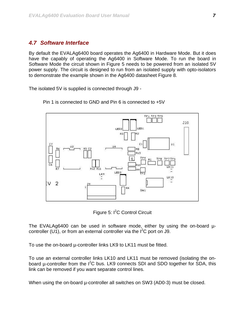#### <span id="page-7-0"></span>*4.7 Software Interface*

By default the EVALAg6400 board operates the Ag6400 in Hardware Mode. But it does have the capably of operating the Ag6400 in Software Mode. To run the board in Software Mode the circuit shown in Figure 5 needs to be powered from an isolated 5V power supply. The circuit is designed to run from an isolated supply with opto-isolators to demonstrate the example shown in the Ag6400 datasheet Figure 8.

The isolated 5V is supplied is connected through J9 -



Pin 1 is connected to GND and Pin 6 is connected to +5V

Figure 5: I<sup>2</sup>C Control Circuit

The EVALAg6400 can be used in software mode, either by using the on-board  $\mu$ controller (U1), or from an external controller via the  $I^2C$  port on J9.

To use the on-board µ-controller links LK9 to LK11 must be fitted.

To use an external controller links LK10 and LK11 must be removed (isolating the onboard  $\mu$ -controller from the  $I^2C$  bus. LK9 connects SDI and SDO together for SDA, this link can be removed if you want separate control lines.

When using the on-board  $\mu$ -controller all switches on SW3 (AD0-3) must be closed.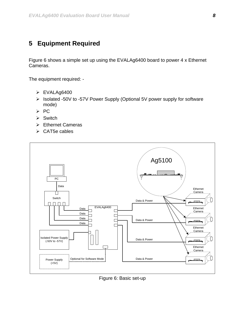### <span id="page-8-0"></span>**5 Equipment Required**

Figure 6 shows a simple set up using the EVALAg6400 board to power 4 x Ethernet Cameras.

The equipment required: -

- $\triangleright$  EVALAg6400
- ¾ Isolated -50V to -57V Power Supply (Optional 5V power supply for software mode)
- ¾ PC
- $\triangleright$  Switch
- ¾ Ethernet Cameras
- $\triangleright$  CAT5e cables



Figure 6: Basic set-up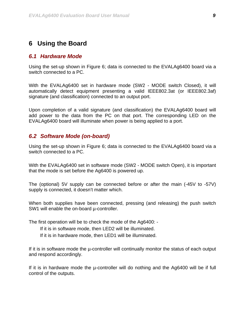#### <span id="page-9-0"></span>**6 Using the Board**

#### *6.1 Hardware Mode*

Using the set-up shown in Figure 6; data is connected to the EVALAg6400 board via a switch connected to a PC.

With the EVALAg6400 set in hardware mode (SW2 - MODE switch Closed), it will automatically detect equipment presenting a valid IEEE802.3at (or IEEE802.3af) signature (and classification) connected to an output port.

Upon completion of a valid signature (and classification) the EVALAg6400 board will add power to the data from the PC on that port. The corresponding LED on the EVALAg6400 board will illuminate when power is being applied to a port.

#### *6.2 Software Mode (on-board)*

Using the set-up shown in Figure 6; data is connected to the EVALAg6400 board via a switch connected to a PC.

With the EVALAg6400 set in software mode (SW2 - MODE switch Open), it is important that the mode is set before the Ag6400 is powered up.

The (optional) 5V supply can be connected before or after the main (-45V to -57V) supply is connected, it doesn't matter which.

When both supplies have been connected, pressing (and releasing) the push switch SW1 will enable the on-board  $\mu$ -controller.

The first operation will be to check the mode of the Ag6400: -

- If it is in software mode, then LED2 will be illuminated.
- If it is in hardware mode, then LED1 will be illuminated.

If it is in software mode the µ-controller will continually monitor the status of each output and respond accordingly.

If it is in hardware mode the u-controller will do nothing and the Ag6400 will be if full control of the outputs.